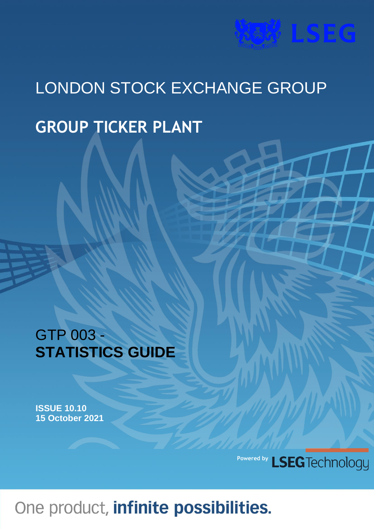# **WEAT LSEG**

# LONDON STOCK EXCHANGE GROUP **GROUP TICKER PLANT**

## GTP 003 - **STATISTICS GUIDE**

**ISSUE 10.10 15 October 2021**

> **Powered by**LSEG Technology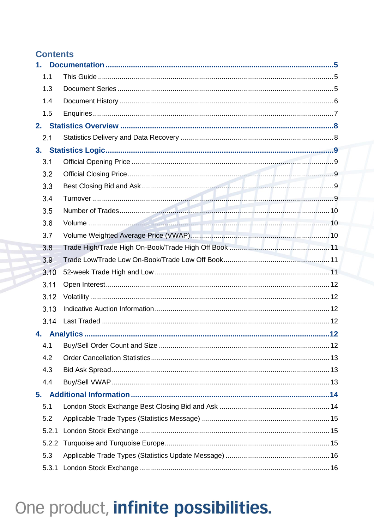### **Contents**

| 1.    |  |
|-------|--|
| 1.1   |  |
| 1.3   |  |
| 1.4   |  |
| 1.5   |  |
|       |  |
| 2.1   |  |
|       |  |
| 3.1   |  |
| 3.2   |  |
| 3.3   |  |
| 3.4   |  |
| 3.5   |  |
| 3.6   |  |
| 3.7   |  |
| 3.8   |  |
| 3.9   |  |
| 3.10  |  |
| 3.11  |  |
| 3.12  |  |
| 3.13  |  |
| 3.14  |  |
| 4.    |  |
| 4.1   |  |
| 4.2   |  |
| 4.3   |  |
| 4.4   |  |
| 5.    |  |
| 5.1   |  |
| 5.2   |  |
| 5.2.1 |  |
|       |  |
| 5.3   |  |
| 5.3.1 |  |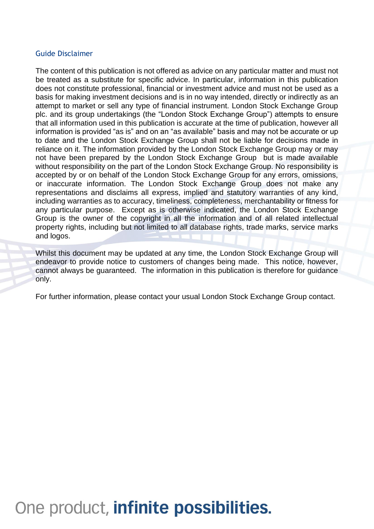### Guide Disclaimer

The content of this publication is not offered as advice on any particular matter and must not be treated as a substitute for specific advice. In particular, information in this publication does not constitute professional, financial or investment advice and must not be used as a basis for making investment decisions and is in no way intended, directly or indirectly as an attempt to market or sell any type of financial instrument. London Stock Exchange Group plc. and its group undertakings (the "London Stock Exchange Group") attempts to ensure that all information used in this publication is accurate at the time of publication, however all information is provided "as is" and on an "as available" basis and may not be accurate or up to date and the London Stock Exchange Group shall not be liable for decisions made in reliance on it. The information provided by the London Stock Exchange Group may or may not have been prepared by the London Stock Exchange Group but is made available without responsibility on the part of the London Stock Exchange Group. No responsibility is accepted by or on behalf of the London Stock Exchange Group for any errors, omissions, or inaccurate information. The London Stock Exchange Group does not make any representations and disclaims all express, implied and statutory warranties of any kind, including warranties as to accuracy, timeliness, completeness, merchantability or fitness for any particular purpose. Except as is otherwise indicated, the London Stock Exchange Group is the owner of the copyright in all the information and of all related intellectual property rights, including but not limited to all database rights, trade marks, service marks and logos.

Whilst this document may be updated at any time, the London Stock Exchange Group will endeavor to provide notice to customers of changes being made. This notice, however, cannot always be guaranteed. The information in this publication is therefore for guidance only.

For further information, please contact your usual London Stock Exchange Group contact.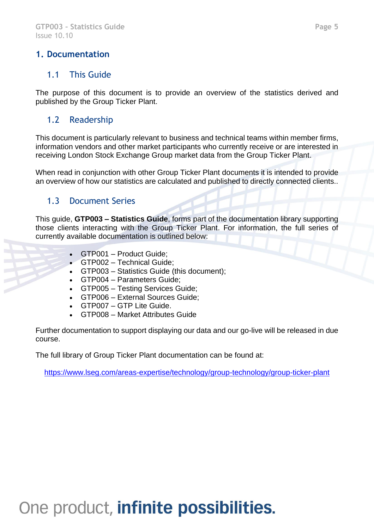### <span id="page-4-0"></span>**1. Documentation**

### <span id="page-4-1"></span>1.1 This Guide

The purpose of this document is to provide an overview of the statistics derived and published by the Group Ticker Plant.

### 1.2 Readership

This document is particularly relevant to business and technical teams within member firms, information vendors and other market participants who currently receive or are interested in receiving London Stock Exchange Group market data from the Group Ticker Plant.

When read in conjunction with other Group Ticker Plant documents it is intended to provide an overview of how our statistics are calculated and published to directly connected clients..

### <span id="page-4-2"></span>1.3 Document Series

This guide, **GTP003 – Statistics Guide**, forms part of the documentation library supporting those clients interacting with the Group Ticker Plant. For information, the full series of currently available documentation is outlined below:

- GTP001 Product Guide;
- GTP002 Technical Guide;
- GTP003 Statistics Guide (this document);
- GTP004 Parameters Guide;
- GTP005 Testing Services Guide;
- GTP006 External Sources Guide;
- GTP007 GTP Lite Guide.
- GTP008 Market Attributes Guide

Further documentation to support displaying our data and our go-live will be released in due course.

The full library of Group Ticker Plant documentation can be found at:

<https://www.lseg.com/areas-expertise/technology/group-technology/group-ticker-plant>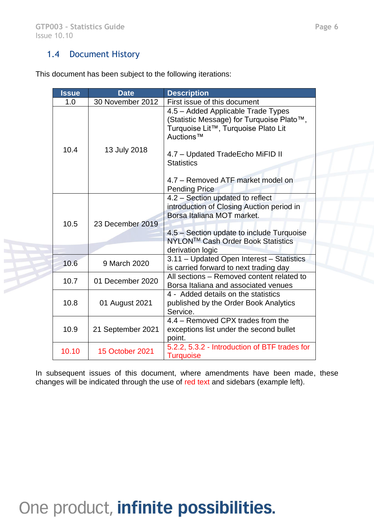### <span id="page-5-0"></span>1.4 Document History

This document has been subject to the following iterations:

| <b>Issue</b> |  | <b>Date</b>            | <b>Description</b>                                                                                                                  |
|--------------|--|------------------------|-------------------------------------------------------------------------------------------------------------------------------------|
| 1.0          |  | 30 November 2012       | First issue of this document                                                                                                        |
| 10.4         |  | 13 July 2018           | 4.5 - Added Applicable Trade Types<br>(Statistic Message) for Turquoise Plato™,<br>Turquoise Lit™, Turquoise Plato Lit<br>Auctions™ |
|              |  |                        | 4.7 - Updated TradeEcho MiFID II<br><b>Statistics</b><br>4.7 - Removed ATF market model on<br><b>Pending Price</b>                  |
| 10.5         |  | 23 December 2019       | 4.2 - Section updated to reflect<br>introduction of Closing Auction period in<br>Borsa Italiana MOT market.                         |
|              |  |                        | 4.5 – Section update to include Turquoise<br>NYLON™ Cash Order Book Statistics<br>derivation logic                                  |
| 10.6         |  | 9 March 2020           | 3.11 - Updated Open Interest - Statistics<br>is carried forward to next trading day                                                 |
| 10.7         |  | 01 December 2020       | All sections - Removed content related to<br>Borsa Italiana and associated venues                                                   |
| 10.8         |  | 01 August 2021         | 4 - Added details on the statistics<br>published by the Order Book Analytics<br>Service.                                            |
| 10.9         |  | 21 September 2021      | 4.4 – Removed CPX trades from the<br>exceptions list under the second bullet<br>point.                                              |
| 10.10        |  | <b>15 October 2021</b> | 5.2.2, 5.3.2 - Introduction of BTF trades for<br><b>Turquoise</b>                                                                   |

In subsequent issues of this document, where amendments have been made, these changes will be indicated through the use of red text and sidebars (example left).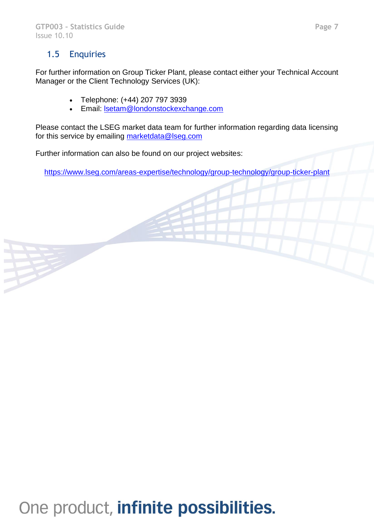### <span id="page-6-0"></span>1.5 Enquiries

For further information on Group Ticker Plant, please contact either your Technical Account Manager or the Client Technology Services (UK):

- Telephone: (+44) 207 797 3939
- Email: [lsetam@londonstockexchange.com](mailto:lsetam@londonstockexchange.com)

Please contact the LSEG market data team for further information regarding data licensing for this service by emailing [marketdata@lseg.com](mailto:marketdata@lseg.com)

Further information can also be found on our project websites:

<https://www.lseg.com/areas-expertise/technology/group-technology/group-ticker-plant>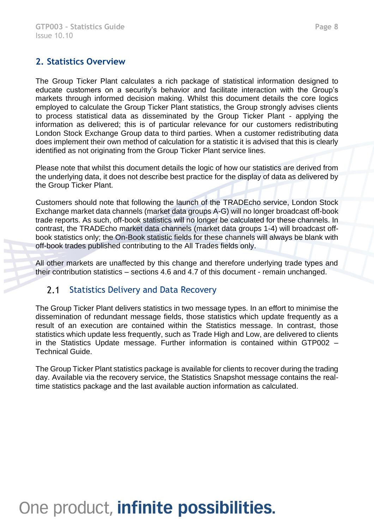### <span id="page-7-0"></span>**2. Statistics Overview**

The Group Ticker Plant calculates a rich package of statistical information designed to educate customers on a security's behavior and facilitate interaction with the Group's markets through informed decision making. Whilst this document details the core logics employed to calculate the Group Ticker Plant statistics, the Group strongly advises clients to process statistical data as disseminated by the Group Ticker Plant - applying the information as delivered; this is of particular relevance for our customers redistributing London Stock Exchange Group data to third parties. When a customer redistributing data does implement their own method of calculation for a statistic it is advised that this is clearly identified as not originating from the Group Ticker Plant service lines.

Please note that whilst this document details the logic of how our statistics are derived from the underlying data, it does not describe best practice for the display of data as delivered by the Group Ticker Plant.

Customers should note that following the launch of the TRADEcho service, London Stock Exchange market data channels (market data groups A-G) will no longer broadcast off-book trade reports. As such, off-book statistics will no longer be calculated for these channels. In contrast, the TRADEcho market data channels (market data groups 1-4) will broadcast offbook statistics only; the On-Book statistic fields for these channels will always be blank with off-book trades published contributing to the All Trades fields only.

All other markets are unaffected by this change and therefore underlying trade types and their contribution statistics – sections 4.6 and 4.7 of this document - remain unchanged.

#### <span id="page-7-1"></span> $2.1$ Statistics Delivery and Data Recovery

The Group Ticker Plant delivers statistics in two message types. In an effort to minimise the dissemination of redundant message fields, those statistics which update frequently as a result of an execution are contained within the Statistics message. In contrast, those statistics which update less frequently, such as Trade High and Low, are delivered to clients in the Statistics Update message. Further information is contained within GTP002 – Technical Guide.

The Group Ticker Plant statistics package is available for clients to recover during the trading day. Available via the recovery service, the Statistics Snapshot message contains the realtime statistics package and the last available auction information as calculated.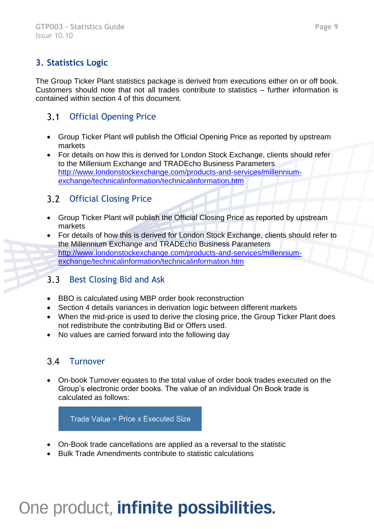## <span id="page-8-0"></span>**3. Statistics Logic**

The Group Ticker Plant statistics package is derived from executions either on or off book. Customers should note that not all trades contribute to statistics – further information is contained within section 4 of this document.

#### <span id="page-8-1"></span> $3.1$ Official Opening Price

- Group Ticker Plant will publish the Official Opening Price as reported by upstream markets
- For details on how this is derived for London Stock Exchange, clients should refer to the Millenium Exchange and TRADEcho Business Parameters [http://www.londonstockexchange.com/products-and-services/millennium](http://www.londonstockexchange.com/products-and-services/millennium-exchange/technicalinformation/technicalinformation.htm)[exchange/technicalinformation/technicalinformation.htm](http://www.londonstockexchange.com/products-and-services/millennium-exchange/technicalinformation/technicalinformation.htm)

#### <span id="page-8-2"></span> $3.2$ Official Closing Price

- Group Ticker Plant will publish the Official Closing Price as reported by upstream markets
- For details of how this is derived for London Stock Exchange, clients should refer to the Millennium Exchange and TRADEcho Business Parameters [http://www.londonstockexchange.com/products-and-services/millennium](http://www.londonstockexchange.com/products-and-services/millennium-exchange/technicalinformation/technicalinformation.htm)[exchange/technicalinformation/technicalinformation.htm](http://www.londonstockexchange.com/products-and-services/millennium-exchange/technicalinformation/technicalinformation.htm)

#### <span id="page-8-3"></span> $3.3$ Best Closing Bid and Ask

- BBO is calculated using MBP order book reconstruction
- Section 4 details variances in derivation logic between different markets
- When the mid-price is used to derive the closing price, the Group Ticker Plant does not redistribute the contributing Bid or Offers used.
- No values are carried forward into the following day

### <span id="page-8-4"></span>3.4 Turnover

• On-book Turnover equates to the total value of order book trades executed on the Group's electronic order books. The value of an individual On Book trade is calculated as follows:

Trade Value = Price x Executed Size

- On-Book trade cancellations are applied as a reversal to the statistic
- Bulk Trade Amendments contribute to statistic calculations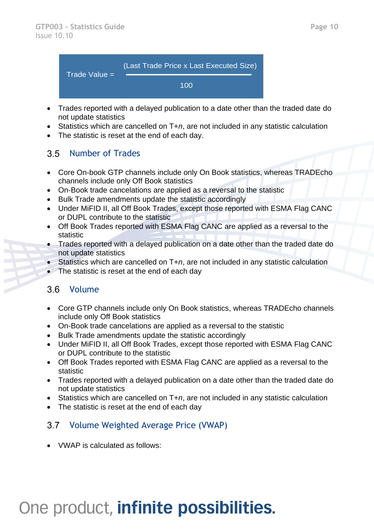

- Trades reported with a delayed publication to a date other than the traded date do not update statistics
- Statistics which are cancelled on T+*n*, are not included in any statistic calculation
- The statistic is reset at the end of each day.

#### <span id="page-9-0"></span>Number of Trades  $3.5$

- Core On-book GTP channels include only On Book statistics, whereas TRADEcho channels include only Off Book statistics
- On-Book trade cancelations are applied as a reversal to the statistic
- Bulk Trade amendments update the statistic accordingly
- Under MiFID II, all Off Book Trades, except those reported with ESMA Flag CANC or DUPL contribute to the statistic
- Off Book Trades reported with ESMA Flag CANC are applied as a reversal to the statistic
- Trades reported with a delayed publication on a date other than the traded date do not update statistics
- Statistics which are cancelled on T+*n*, are not included in any statistic calculation
- The statistic is reset at the end of each day

### <span id="page-9-1"></span>3.6 Volume

- Core GTP channels include only On Book statistics, whereas TRADEcho channels include only Off Book statistics
- On-Book trade cancelations are applied as a reversal to the statistic
- Bulk Trade amendments update the statistic accordingly
- Under MiFID II, all Off Book Trades, except those reported with ESMA Flag CANC or DUPL contribute to the statistic
- Off Book Trades reported with ESMA Flag CANC are applied as a reversal to the statistic
- Trades reported with a delayed publication on a date other than the traded date do not update statistics
- Statistics which are cancelled on T+*n*, are not included in any statistic calculation
- The statistic is reset at the end of each day

#### <span id="page-9-2"></span> $3.7$ Volume Weighted Average Price (VWAP)

• VWAP is calculated as follows: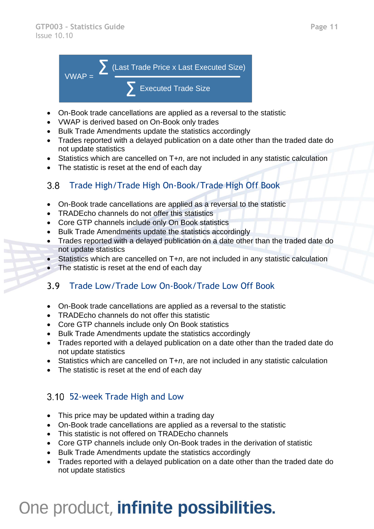

- On-Book trade cancellations are applied as a reversal to the statistic
- VWAP is derived based on On-Book only trades
- Bulk Trade Amendments update the statistics accordingly
- Trades reported with a delayed publication on a date other than the traded date do not update statistics
- Statistics which are cancelled on T+*n*, are not included in any statistic calculation
- The statistic is reset at the end of each day

#### <span id="page-10-0"></span>Trade High/Trade High On-Book/Trade High Off Book  $3.8<sup>°</sup>$

- On-Book trade cancellations are applied as a reversal to the statistic
- TRADEcho channels do not offer this statistics
- Core GTP channels include only On Book statistics
- Bulk Trade Amendments update the statistics accordingly
- Trades reported with a delayed publication on a date other than the traded date do not update statistics
- Statistics which are cancelled on T+n, are not included in any statistic calculation
- The statistic is reset at the end of each day

#### <span id="page-10-1"></span> $3.9$ Trade Low/Trade Low On-Book/Trade Low Off Book

- On-Book trade cancellations are applied as a reversal to the statistic
- TRADEcho channels do not offer this statistic
- Core GTP channels include only On Book statistics
- Bulk Trade Amendments update the statistics accordingly
- Trades reported with a delayed publication on a date other than the traded date do not update statistics
- Statistics which are cancelled on T+*n*, are not included in any statistic calculation
- The statistic is reset at the end of each day

## <span id="page-10-2"></span>52-week Trade High and Low

- This price may be updated within a trading day
- On-Book trade cancellations are applied as a reversal to the statistic
- This statistic is not offered on TRADEcho channels
- Core GTP channels include only On-Book trades in the derivation of statistic
- Bulk Trade Amendments update the statistics accordingly
- Trades reported with a delayed publication on a date other than the traded date do not update statistics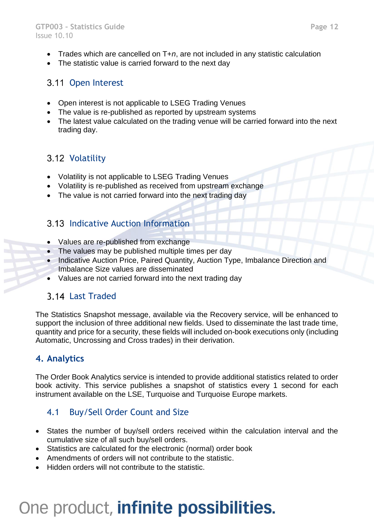- Trades which are cancelled on T+*n*, are not included in any statistic calculation
- The statistic value is carried forward to the next day

## <span id="page-11-0"></span>3.11 Open Interest

- Open interest is not applicable to LSEG Trading Venues
- The value is re-published as reported by upstream systems
- The latest value calculated on the trading venue will be carried forward into the next trading day.

## <span id="page-11-1"></span>3.12 Volatility

- Volatility is not applicable to LSEG Trading Venues
- Volatility is re-published as received from upstream exchange
- The value is not carried forward into the next trading day

## <span id="page-11-2"></span>**3.13 Indicative Auction Information**

- Values are re-published from exchange
- The values may be published multiple times per day
- Indicative Auction Price, Paired Quantity, Auction Type, Imbalance Direction and Imbalance Size values are disseminated
- Values are not carried forward into the next trading day

## <span id="page-11-3"></span>Last Traded

The Statistics Snapshot message, available via the Recovery service, will be enhanced to support the inclusion of three additional new fields. Used to disseminate the last trade time, quantity and price for a security, these fields will included on-book executions only (including Automatic, Uncrossing and Cross trades) in their derivation.

## <span id="page-11-4"></span>**4. Analytics**

The Order Book Analytics service is intended to provide additional statistics related to order book activity. This service publishes a snapshot of statistics every 1 second for each instrument available on the LSE, Turquoise and Turquoise Europe markets.

## <span id="page-11-5"></span>4.1 Buy/Sell Order Count and Size

- States the number of buy/sell orders received within the calculation interval and the cumulative size of all such buy/sell orders.
- Statistics are calculated for the electronic (normal) order book
- Amendments of orders will not contribute to the statistic.
- Hidden orders will not contribute to the statistic.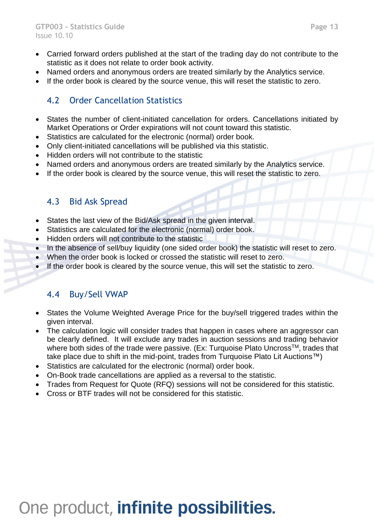- Carried forward orders published at the start of the trading day do not contribute to the statistic as it does not relate to order book activity.
- Named orders and anonymous orders are treated similarly by the Analytics service.
- If the order book is cleared by the source venue, this will reset the statistic to zero.

### <span id="page-12-0"></span>4.2 Order Cancellation Statistics

- States the number of client-initiated cancellation for orders. Cancellations initiated by Market Operations or Order expirations will not count toward this statistic.
- Statistics are calculated for the electronic (normal) order book.
- Only client-initiated cancellations will be published via this statistic.
- Hidden orders will not contribute to the statistic
- Named orders and anonymous orders are treated similarly by the Analytics service.
- If the order book is cleared by the source venue, this will reset the statistic to zero.

### <span id="page-12-1"></span>4.3 Bid Ask Spread

- States the last view of the Bid/Ask spread in the given interval.
- Statistics are calculated for the electronic (normal) order book.
- Hidden orders will not contribute to the statistic
- In the absence of sell/buy liquidity (one sided order book) the statistic will reset to zero.
- When the order book is locked or crossed the statistic will reset to zero.
- If the order book is cleared by the source venue, this will set the statistic to zero.

### <span id="page-12-2"></span>4.4 Buy/Sell VWAP

- States the Volume Weighted Average Price for the buy/sell triggered trades within the given interval.
- The calculation logic will consider trades that happen in cases where an aggressor can be clearly defined. It will exclude any trades in auction sessions and trading behavior where both sides of the trade were passive. (Ex: Turquoise Plato Uncross<sup>™</sup>, trades that take place due to shift in the mid-point, trades from Turquoise Plato Lit Auctions™)
- Statistics are calculated for the electronic (normal) order book.
- On-Book trade cancellations are applied as a reversal to the statistic.
- Trades from Request for Quote (RFQ) sessions will not be considered for this statistic.
- Cross or BTF trades will not be considered for this statistic.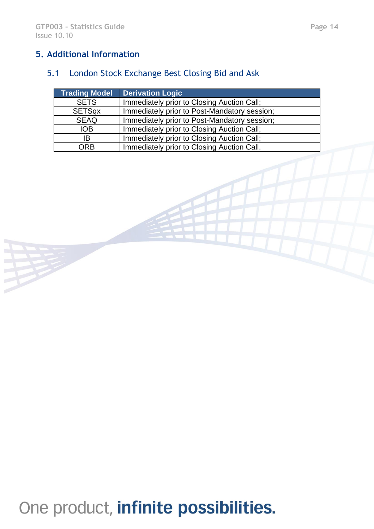## <span id="page-13-0"></span>**5. Additional Information**

## <span id="page-13-1"></span>5.1 London Stock Exchange Best Closing Bid and Ask

| <b>Trading Model</b> | <b>Derivation Logic</b>                      |
|----------------------|----------------------------------------------|
| <b>SETS</b>          | Immediately prior to Closing Auction Call;   |
| <b>SETSqx</b>        | Immediately prior to Post-Mandatory session; |
| <b>SEAQ</b>          | Immediately prior to Post-Mandatory session; |
| <b>IOB</b>           | Immediately prior to Closing Auction Call;   |
| IB                   | Immediately prior to Closing Auction Call;   |
| ORB                  | Immediately prior to Closing Auction Call.   |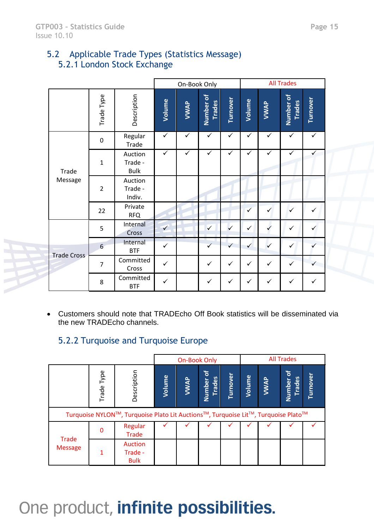### <span id="page-14-1"></span><span id="page-14-0"></span>5.2 Applicable Trade Types (Statistics Message) 5.2.1 London Stock Exchange

|                    |                |                                   | On-Book Only |              |                            |              | <b>All Trades</b> |              |                            |              |
|--------------------|----------------|-----------------------------------|--------------|--------------|----------------------------|--------------|-------------------|--------------|----------------------------|--------------|
|                    | Trade Type     | Description                       | Volume       | VWAP         | Number of<br><b>Trades</b> | Turnover     | Volume            | VWAP         | Number of<br><b>Trades</b> | Turnover     |
|                    | $\pmb{0}$      | Regular<br>Trade                  | $\checkmark$ | $\checkmark$ | $\checkmark$               | $\checkmark$ | $\checkmark$      | $\checkmark$ | $\checkmark$               | $\checkmark$ |
| Trade              | $\mathbf{1}$   | Auction<br>Trade -<br><b>Bulk</b> | $\checkmark$ | $\checkmark$ | $\checkmark$               | ✓            | ✓                 | ✓            | $\checkmark$               |              |
| Message            | $\overline{2}$ | Auction<br>Trade -<br>Indiv.      |              |              |                            |              |                   |              |                            |              |
|                    | 22             | Private<br><b>RFQ</b>             |              |              |                            |              | $\checkmark$      | $\checkmark$ | $\checkmark$               | $\checkmark$ |
| <b>Trade Cross</b> | 5              | Internal<br>Cross                 | $\checkmark$ |              | $\checkmark$               | $\checkmark$ | $\checkmark$      |              | $\checkmark$               |              |
|                    | 6              | Internal<br><b>BTF</b>            | $\checkmark$ |              | $\checkmark$               | $\checkmark$ | $\checkmark$      | $\checkmark$ | $\checkmark$               |              |
|                    | $\overline{7}$ | Committed<br>Cross                | ✓            |              | $\checkmark$               | $\checkmark$ | ✓                 | $\checkmark$ | $\checkmark$               |              |
|                    | 8              | Committed<br><b>BTF</b>           | $\checkmark$ |              | ✓                          | ✓            | ✓                 | ✓            | $\checkmark$               | ✓            |

• Customers should note that TRADEcho Off Book statistics will be disseminated via the new TRADEcho channels.

### 5.2.2 Turquoise and Turquoise Europe

<span id="page-14-2"></span>

|                                |            |                                                                                   |        | <b>On-Book Only</b> |                            |          |        |      | <b>All Trades</b>            |          |
|--------------------------------|------------|-----------------------------------------------------------------------------------|--------|---------------------|----------------------------|----------|--------|------|------------------------------|----------|
|                                | Trade Type | Description                                                                       | Volume | VWAP                | Number of<br><b>Trades</b> | Turnover | Volume | VWAP | ৳<br><b>Trades</b><br>Number | Turnover |
|                                |            | Turquoise NYLON™, Turquoise Plato Lit Auctions™, Turquoise Lit™, Turquoise Plato™ |        |                     |                            |          |        |      |                              |          |
|                                | 0          | Regular<br>Trade                                                                  |        |                     |                            |          |        |      |                              |          |
| <b>Trade</b><br><b>Message</b> | 1          | <b>Auction</b><br>Trade -<br><b>Bulk</b>                                          |        |                     |                            |          |        |      |                              |          |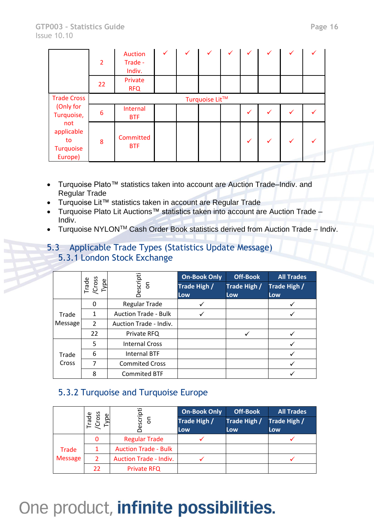|                                                                            | $\overline{2}$ | <b>Auction</b><br>Trade -<br>Indiv. | ✓ |  |  |  |   | $\checkmark$ | $\checkmark$ |  |
|----------------------------------------------------------------------------|----------------|-------------------------------------|---|--|--|--|---|--------------|--------------|--|
|                                                                            | 22             | Private<br><b>RFQ</b>               |   |  |  |  |   |              |              |  |
| <b>Trade Cross</b>                                                         | Turquoise Lit™ |                                     |   |  |  |  |   |              |              |  |
| (Only for<br>Turquoise,<br>not<br>applicable<br>to<br>Turquoise<br>Europe) | 6              | Internal<br><b>BTF</b>              |   |  |  |  | ✓ |              |              |  |
|                                                                            | 8              | Committed<br><b>BTF</b>             |   |  |  |  |   |              |              |  |

- Turquoise Plato™ statistics taken into account are Auction Trade–Indiv. and Regular Trade
- Turquoise Lit™ statistics taken in account are Regular Trade
- Turquoise Plato Lit Auctions™ statistics taken into account are Auction Trade Indiv.
- Turquoise NYLON<sup>TM</sup> Cash Order Book statistics derived from Auction Trade Indiv.
- <span id="page-15-1"></span><span id="page-15-0"></span>5.3 Applicable Trade Types (Statistics Update Message) 5.3.1 London Stock Exchange

|                  | Trade<br>/Cross<br><b>Type</b> | Jescripti<br>$5^{\circ}$    | <b>On-Book Only</b><br>Trade High /<br>Low | <b>Off-Book</b><br>Trade High /<br>Low | <b>All Trades</b><br>Trade High /<br>Low |
|------------------|--------------------------------|-----------------------------|--------------------------------------------|----------------------------------------|------------------------------------------|
|                  | 0                              | Regular Trade               |                                            |                                        |                                          |
| Trade<br>Message |                                | <b>Auction Trade - Bulk</b> |                                            |                                        |                                          |
|                  | $\overline{2}$                 | Auction Trade - Indiv.      |                                            |                                        |                                          |
|                  | 22                             | Private RFQ                 |                                            |                                        |                                          |
|                  | 5                              | <b>Internal Cross</b>       |                                            |                                        |                                          |
| Trade<br>Cross   | 6                              | <b>Internal BTF</b>         |                                            |                                        |                                          |
|                  |                                | <b>Commited Cross</b>       |                                            |                                        |                                          |
|                  | 8                              | <b>Commited BTF</b>         |                                            |                                        |                                          |

### <span id="page-15-2"></span>5.3.2 Turquoise and Turquoise Europe

|                | Cross<br>Trade<br>ype | escripti<br>δ                 | <b>On-Book Only</b><br>Trade High /<br>Low | <b>Off-Book</b><br>Trade High /<br>Low. | <b>All Trades</b><br>Trade High /<br>Low |
|----------------|-----------------------|-------------------------------|--------------------------------------------|-----------------------------------------|------------------------------------------|
| <b>Trade</b>   | 0                     | <b>Regular Trade</b>          |                                            |                                         |                                          |
|                |                       | <b>Auction Trade - Bulk</b>   |                                            |                                         |                                          |
| <b>Message</b> | 2                     | <b>Auction Trade - Indiv.</b> |                                            |                                         |                                          |
|                | 22                    | <b>Private RFQ</b>            |                                            |                                         |                                          |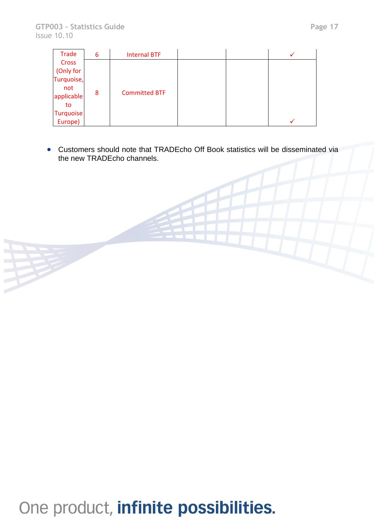| Trade            | 6 | <b>Internal BTF</b>  |  |  |
|------------------|---|----------------------|--|--|
| Cross            |   |                      |  |  |
| (Only for        |   |                      |  |  |
| Turquoise,       |   |                      |  |  |
| not              | 8 | <b>Committed BTF</b> |  |  |
| applicable       |   |                      |  |  |
| to               |   |                      |  |  |
| <b>Turquoise</b> |   |                      |  |  |
| Europe)          |   |                      |  |  |

• Customers should note that TRADEcho Off Book statistics will be disseminated via the new TRADEcho channels.